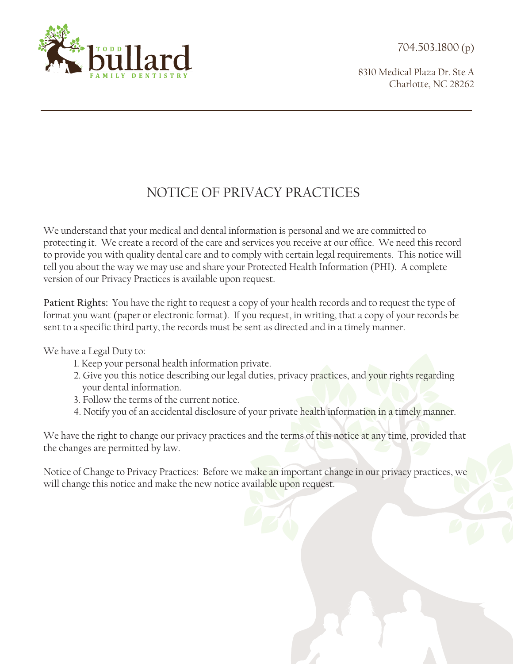704.503.1800 (p)



8310 Medical Plaza Dr. Ste A Charlotte, NC 28262

## NOTICE OF PRIVACY PRACTICES

We understand that your medical and dental information is personal and we are committed to protecting it. We create a record of the care and services you receive at our office. We need this record to provide you with quality dental care and to comply with certain legal requirements. This notice will tell you about the way we may use and share your Protected Health Information (PHI). A complete version of our Privacy Practices is available upon request.

**Patient Rights:** You have the right to request a copy of your health records and to request the type of format you want (paper or electronic format). If you request, in writing, that a copy of your records be sent to a specific third party, the records must be sent as directed and in a timely manner.

We have a Legal Duty to:

- 1. Keep your personal health information private.
- 2. Give you this notice describing our legal duties, privacy practices, and your rights regarding your dental information.
- 3. Follow the terms of the current notice.
- 4. Notify you of an accidental disclosure of your private health information in a timely manner.

We have the right to change our privacy practices and the terms of this notice at any time, provided that the changes are permitted by law.

Notice of Change to Privacy Practices: Before we make an important change in our privacy practices, we will change this notice and make the new notice available upon request.